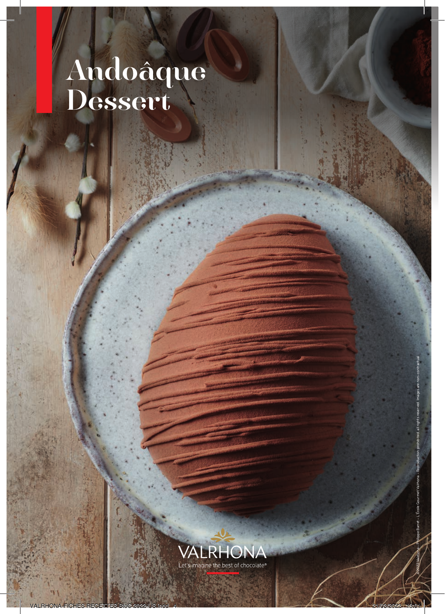# Andoâque Dessert



©2022 Valrhona – Philippe Barret – L'École Gourmet Valrhona – Reproduction prohibited, all rights reserved. Images are non-contractual.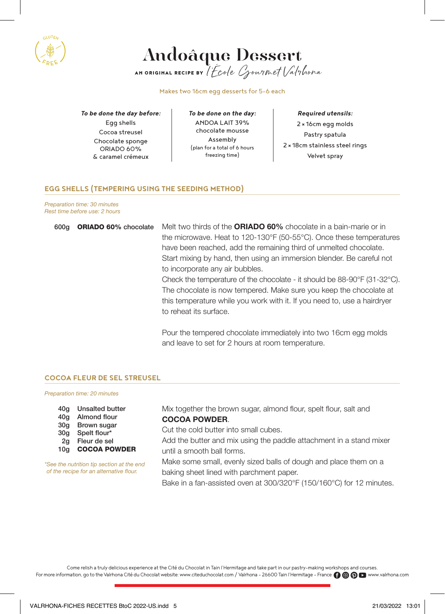



Makes two 16cm egg desserts for 5-6 each

*To be done the day before:* Egg shells Cocoa streusel Chocolate sponge ORIADO 60% & caramel crémeux

*To be done on the day:* ANDOA LAIT 39% chocolate mousse Assembly (plan for a total of 6 hours freezing time)

*Required utensils:* 2 × 16cm egg molds Pastry spatula 2 × 18cm stainless steel rings Velvet spray

#### **EGG SHELLS (TEMPERING USING THE SEEDING METHOD)**

Preparation time: 30 minutes Rest time before use: 2 hours

| 600a | <b>ORIADO 60%</b> chocolate | Melt two thirds of the <b>ORIADO 60%</b> chocolate in a bain-marie or in |
|------|-----------------------------|--------------------------------------------------------------------------|
|      |                             | the microwave. Heat to 120-130°F (50-55°C). Once these temperatures      |
|      |                             | have been reached, add the remaining third of unmelted chocolate.        |
|      |                             | Start mixing by hand, then using an immersion blender. Be careful not    |
|      |                             | to incorporate any air bubbles.                                          |
|      |                             | Check the temperature of the chocolate - it should be 88-90°F (31-32°C). |
|      |                             | The chocolate is now tempered. Make sure you keep the chocolate at       |
|      |                             | this temperature while you work with it. If you need to, use a hairdryer |
|      |                             | to reheat its surface.                                                   |
|      |                             |                                                                          |
|      |                             | Pour the tempered chocolate immediately into two 16cm egg molds          |

Pour the tempered chocolate immediately into two 16cm egg molds and leave to set for 2 hours at room temperature.

#### **COCOA FLEUR DE SEL STREUSEL**

Preparation time: 20 minutes

- 40g Unsalted butter
- 40g Almond flour
- 30g Brown sugar
- 30g Spelt flour\*
- 2g Fleur de sel
- 10g COCOA POWDER

\*See the nutrition tip section at the end of the recipe for an alternative flour.

Mix together the brown sugar, almond flour, spelt flour, salt and COCOA POWDER.

Cut the cold butter into small cubes.

Add the butter and mix using the paddle attachment in a stand mixer until a smooth ball forms.

Make some small, evenly sized balls of dough and place them on a baking sheet lined with parchment paper.

Bake in a fan-assisted oven at 300/320°F (150/160°C) for 12 minutes.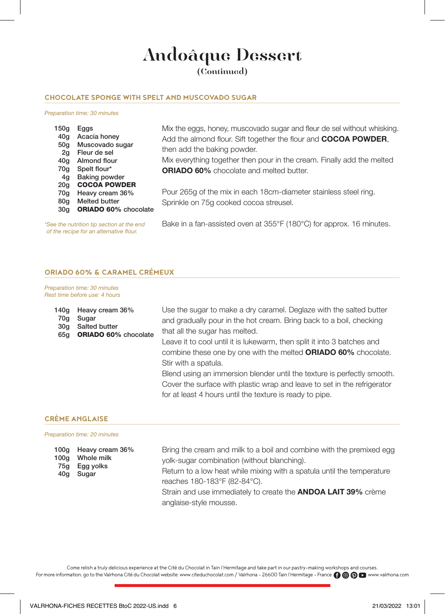## Andoâque Dessert

(Continued)

#### **CHOCOLATE SPONGE WITH SPELT AND MUSCOVADO SUGAR**

#### Preparation time: 30 minutes

| 150g            | Eggs                        |
|-----------------|-----------------------------|
| 40 <sub>q</sub> | Acacia honey                |
| 50q             | Muscovado sugar             |
| 2q              | Fleur de sel                |
| 40q             | Almond flour                |
| 70q             | Spelt flour*                |
| 4q              | <b>Baking powder</b>        |
| 20 <sub>q</sub> | <b>COCOA POWDER</b>         |
| 70q             | Heavy cream 36%             |
| 80a             | <b>Melted butter</b>        |
| 30a             | <b>ORIADO 60%</b> chocolate |
|                 |                             |

\*See the nutrition tip section at the end of the recipe for an alternative flour.

Mix the eggs, honey, muscovado sugar and fleur de sel without whisking. Add the almond flour. Sift together the flour and **COCOA POWDER**, then add the baking powder.

Mix everything together then pour in the cream. Finally add the melted ORIADO 60% chocolate and melted butter.

Pour 265g of the mix in each 18cm-diameter stainless steel ring. Sprinkle on 75g cooked cocoa streusel.

Bake in a fan-assisted oven at 355°F (180°C) for approx. 16 minutes.

#### **ORIADO 60% & CARAMEL CRÉMEUX**

Preparation time: 30 minutes Rest time before use: 4 hours

| 140q<br>70q<br>30q<br>65q | Heavy cream 36%<br>Sugar<br>Salted butter<br><b>ORIADO 60%</b> chocolate | Use the sugar to make a dry caramel. Deglaze with the salted butter<br>and gradually pour in the hot cream. Bring back to a boil, checking<br>that all the sugar has melted.                                    |
|---------------------------|--------------------------------------------------------------------------|-----------------------------------------------------------------------------------------------------------------------------------------------------------------------------------------------------------------|
|                           |                                                                          | Leave it to cool until it is lukewarm, then split it into 3 batches and<br>combine these one by one with the melted <b>ORIADO 60%</b> chocolate.<br>Stir with a spatula.                                        |
|                           |                                                                          | Blend using an immersion blender until the texture is perfectly smooth.<br>Cover the surface with plastic wrap and leave to set in the refrigerator<br>for at least 4 hours until the texture is ready to pipe. |

#### **CRÈME ANGLAISE**

#### Preparation time: 20 minutes

| 100q | 100g Heavy cream 36%<br>Whole milk<br>75g Egg yolks<br>40g Sugar | Bring the cream and milk to a boil and combine with the premixed egg   |
|------|------------------------------------------------------------------|------------------------------------------------------------------------|
|      |                                                                  | yolk-sugar combination (without blanching).                            |
|      |                                                                  | Return to a low heat while mixing with a spatula until the temperature |
|      |                                                                  | reaches 180-183°F (82-84°C).                                           |
|      |                                                                  | Strain and use immediately to create the <b>ANDOA LAIT 39%</b> crème   |
|      |                                                                  | anglaise-style mousse.                                                 |

Come relish a truly delicious experience at the Cité du Chocolat in Tain l'Hermitage and take part in our pastry-making workshops and courses. For more information, go to the Valrhona Cité du Chocolat website: www.citeduchocolat.com / Valrhona - 26600 Tain l'Hermitage - France (1 @ @ D www.valrhona.com